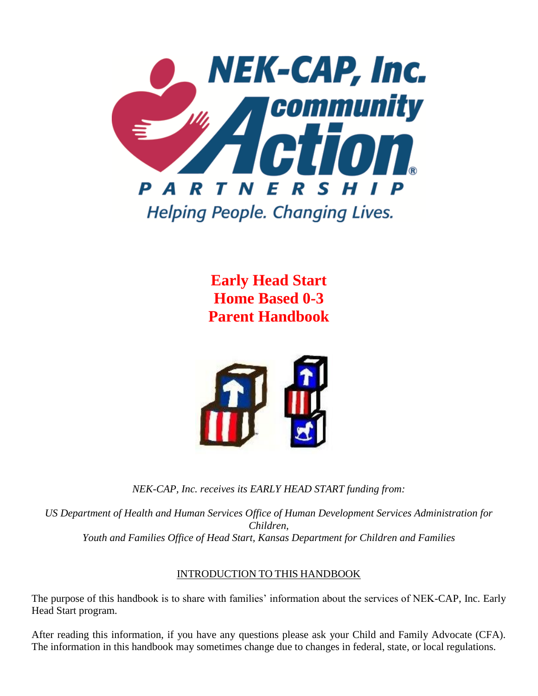

**Early Head Start Home Based 0-3 Parent Handbook**



*NEK-CAP, Inc. receives its EARLY HEAD START funding from:*

*US Department of Health and Human Services Office of Human Development Services Administration for Children, Youth and Families Office of Head Start, Kansas Department for Children and Families*

# INTRODUCTION TO THIS HANDBOOK

The purpose of this handbook is to share with families' information about the services of NEK-CAP, Inc. Early Head Start program.

After reading this information, if you have any questions please ask your Child and Family Advocate (CFA). The information in this handbook may sometimes change due to changes in federal, state, or local regulations.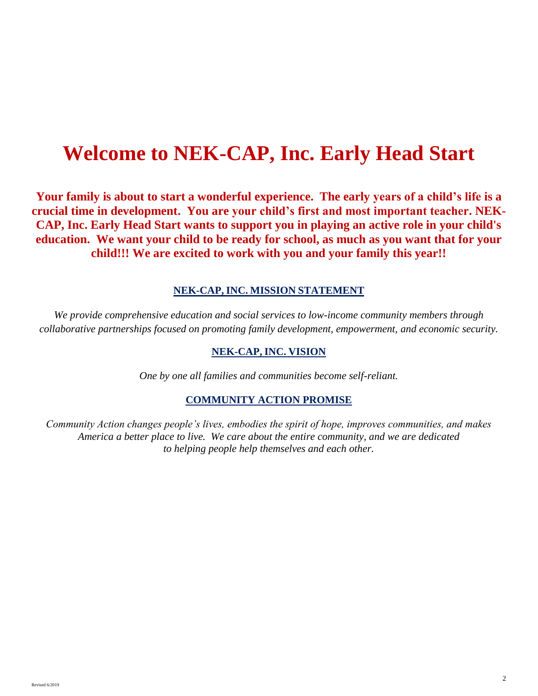# **Welcome to NEK-CAP, Inc. Early Head Start**

**Your family is about to start a wonderful experience. The early years of a child's life is a crucial time in development. You are your child's first and most important teacher. NEK-CAP, Inc. Early Head Start wants to support you in playing an active role in your child's education. We want your child to be ready for school, as much as you want that for your child!!! We are excited to work with you and your family this year!!** 

#### **NEK-CAP, INC. MISSION STATEMENT**

*We provide comprehensive education and social services to low-income community members through collaborative partnerships focused on promoting family development, empowerment, and economic security.*

#### **NEK-CAP, INC. VISION**

*One by one all families and communities become self-reliant.*

#### **COMMUNITY ACTION PROMISE**

*Community Action changes people's lives, embodies the spirit of hope, improves communities, and makes America a better place to live. We care about the entire community, and we are dedicated to helping people help themselves and each other.*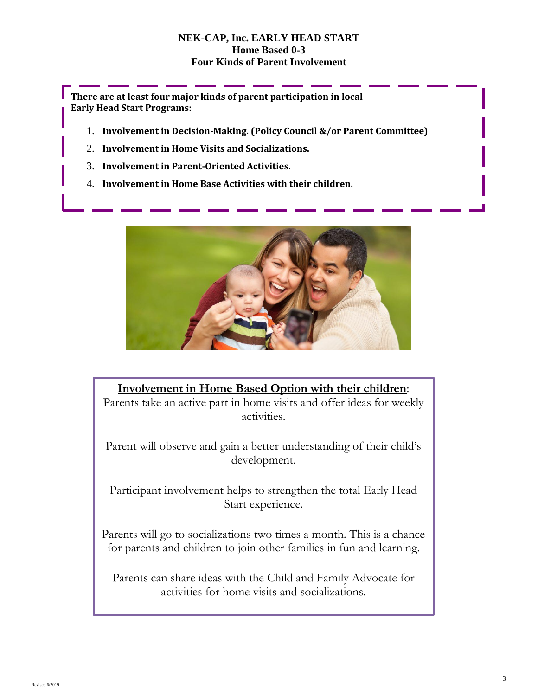## **NEK-CAP, Inc. EARLY HEAD START Home Based 0-3 Four Kinds of Parent Involvement**

**There are at least four major kinds of parent participation in local Early Head Start Programs:**

- 1. **Involvement in Decision-Making. (Policy Council &/or Parent Committee)**
- 2. **Involvement in Home Visits and Socializations.**
- 3. **Involvement in Parent-Oriented Activities.**
- 4. **Involvement in Home Base Activities with their children.**



# **Involvement in Home Based Option with their children**:

Parents take an active part in home visits and offer ideas for weekly activities.

Parent will observe and gain a better understanding of their child's development.

Participant involvement helps to strengthen the total Early Head Start experience.

Parents will go to socializations two times a month. This is a chance for parents and children to join other families in fun and learning.

Parents can share ideas with the Child and Family Advocate for activities for home visits and socializations.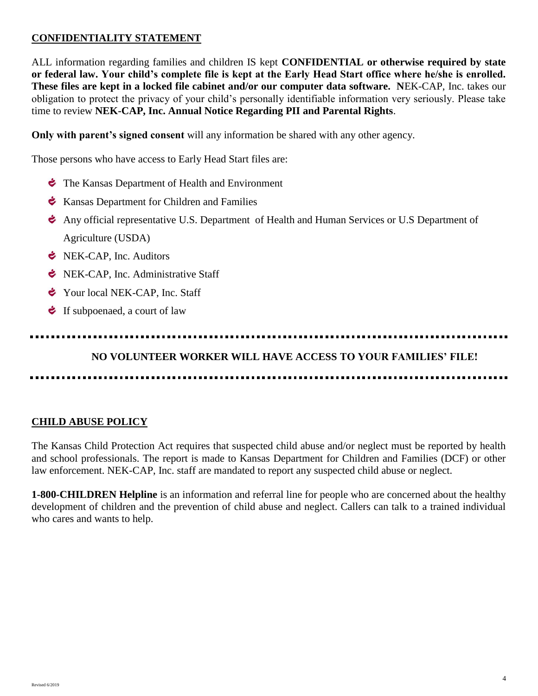# **CONFIDENTIALITY STATEMENT**

ALL information regarding families and children IS kept **CONFIDENTIAL or otherwise required by state or federal law. Your child's complete file is kept at the Early Head Start office where he/she is enrolled. These files are kept in a locked file cabinet and/or our computer data software. N**EK-CAP, Inc. takes our obligation to protect the privacy of your child's personally identifiable information very seriously. Please take time to review **NEK-CAP, Inc. Annual Notice Regarding PII and Parental Rights**.

**Only with parent's signed consent** will any information be shared with any other agency.

Those persons who have access to Early Head Start files are:

- The Kansas Department of Health and Environment
- $\div$  Kansas Department for Children and Families
- Any official representative U.S. Department of Health and Human Services or U.S Department of Agriculture (USDA)
- **E** NEK-CAP, Inc. Auditors
- **E** NEK-CAP, Inc. Administrative Staff
- Your local NEK-CAP, Inc. Staff
- $\bullet$  If subpoenaed, a court of law

**NO VOLUNTEER WORKER WILL HAVE ACCESS TO YOUR FAMILIES' FILE!**

# **CHILD ABUSE POLICY**

The Kansas Child Protection Act requires that suspected child abuse and/or neglect must be reported by health and school professionals. The report is made to Kansas Department for Children and Families (DCF) or other law enforcement. NEK-CAP, Inc. staff are mandated to report any suspected child abuse or neglect.

**1-800-CHILDREN Helpline** is an information and referral line for people who are concerned about the healthy development of children and the prevention of child abuse and neglect. Callers can talk to a trained individual who cares and wants to help.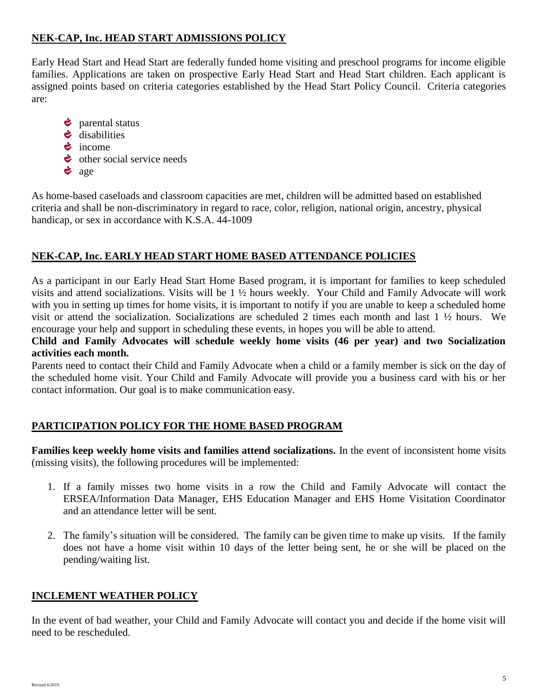# **NEK-CAP, Inc. HEAD START ADMISSIONS POLICY**

Early Head Start and Head Start are federally funded home visiting and preschool programs for income eligible families. Applications are taken on prospective Early Head Start and Head Start children. Each applicant is assigned points based on criteria categories established by the Head Start Policy Council. Criteria categories are:

- *i* parental status
- disabilities
- $\dot{\bullet}$  income
- $\div$  other social service needs
- $\dot{\bullet}$  age

As home-based caseloads and classroom capacities are met, children will be admitted based on established criteria and shall be non-discriminatory in regard to race, color, religion, national origin, ancestry, physical handicap, or sex in accordance with K.S.A. 44-1009

# **NEK-CAP, Inc. EARLY HEAD START HOME BASED ATTENDANCE POLICIES**

As a participant in our Early Head Start Home Based program, it is important for families to keep scheduled visits and attend socializations. Visits will be 1 ½ hours weekly. Your Child and Family Advocate will work with you in setting up times for home visits, it is important to notify if you are unable to keep a scheduled home visit or attend the socialization. Socializations are scheduled 2 times each month and last 1 ½ hours. We encourage your help and support in scheduling these events, in hopes you will be able to attend.

**Child and Family Advocates will schedule weekly home visits (46 per year) and two Socialization activities each month.**

Parents need to contact their Child and Family Advocate when a child or a family member is sick on the day of the scheduled home visit. Your Child and Family Advocate will provide you a business card with his or her contact information. Our goal is to make communication easy.

# **PARTICIPATION POLICY FOR THE HOME BASED PROGRAM**

**Families keep weekly home visits and families attend socializations.** In the event of inconsistent home visits (missing visits), the following procedures will be implemented:

- 1. If a family misses two home visits in a row the Child and Family Advocate will contact the ERSEA/Information Data Manager, EHS Education Manager and EHS Home Visitation Coordinator and an attendance letter will be sent.
- 2. The family's situation will be considered. The family can be given time to make up visits. If the family does not have a home visit within 10 days of the letter being sent, he or she will be placed on the pending/waiting list.

# **INCLEMENT WEATHER POLICY**

In the event of bad weather, your Child and Family Advocate will contact you and decide if the home visit will need to be rescheduled.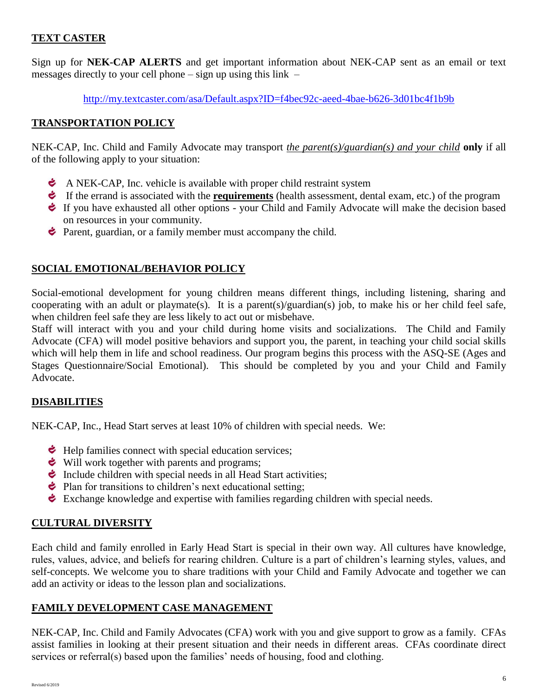# **TEXT CASTER**

Sign up for **NEK-CAP ALERTS** and get important information about NEK-CAP sent as an email or text messages directly to your cell phone  $-$  sign up using this link  $-$ 

<http://my.textcaster.com/asa/Default.aspx?ID=f4bec92c-aeed-4bae-b626-3d01bc4f1b9b>

# **TRANSPORTATION POLICY**

NEK-CAP, Inc. Child and Family Advocate may transport *the parent(s)/guardian(s) and your child* **only** if all of the following apply to your situation:

- $\bullet$  A NEK-CAP, Inc. vehicle is available with proper child restraint system
- If the errand is associated with the **requirements** (health assessment, dental exam, etc.) of the program
- If you have exhausted all other options your Child and Family Advocate will make the decision based on resources in your community.
- **Parent, guardian, or a family member must accompany the child.**

# **SOCIAL EMOTIONAL/BEHAVIOR POLICY**

Social-emotional development for young children means different things, including listening, sharing and cooperating with an adult or playmate(s). It is a parent(s)/guardian(s) job, to make his or her child feel safe, when children feel safe they are less likely to act out or misbehave.

Staff will interact with you and your child during home visits and socializations. The Child and Family Advocate (CFA) will model positive behaviors and support you, the parent, in teaching your child social skills which will help them in life and school readiness. Our program begins this process with the ASO-SE (Ages and Stages Questionnaire/Social Emotional). This should be completed by you and your Child and Family Advocate.

# **DISABILITIES**

NEK-CAP, Inc., Head Start serves at least 10% of children with special needs. We:

- $\div$  Help families connect with special education services;
- $\bullet$  Will work together with parents and programs;
- Include children with special needs in all Head Start activities;
- $\div$  Plan for transitions to children's next educational setting;
- $\bullet$  Exchange knowledge and expertise with families regarding children with special needs.

# **CULTURAL DIVERSITY**

Each child and family enrolled in Early Head Start is special in their own way. All cultures have knowledge, rules, values, advice, and beliefs for rearing children. Culture is a part of children's learning styles, values, and self-concepts. We welcome you to share traditions with your Child and Family Advocate and together we can add an activity or ideas to the lesson plan and socializations.

## **FAMILY DEVELOPMENT CASE MANAGEMENT**

NEK-CAP, Inc. Child and Family Advocates (CFA) work with you and give support to grow as a family. CFAs assist families in looking at their present situation and their needs in different areas. CFAs coordinate direct services or referral(s) based upon the families' needs of housing, food and clothing.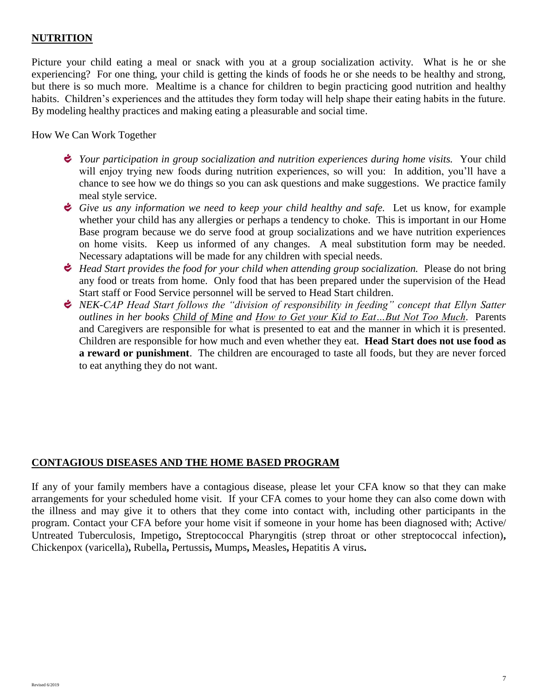# **NUTRITION**

Picture your child eating a meal or snack with you at a group socialization activity. What is he or she experiencing? For one thing, your child is getting the kinds of foods he or she needs to be healthy and strong, but there is so much more. Mealtime is a chance for children to begin practicing good nutrition and healthy habits. Children's experiences and the attitudes they form today will help shape their eating habits in the future. By modeling healthy practices and making eating a pleasurable and social time.

How We Can Work Together

- *i Your participation in group socialization and nutrition experiences during home visits.* Your child will enjoy trying new foods during nutrition experiences, so will you: In addition, you'll have a chance to see how we do things so you can ask questions and make suggestions. We practice family meal style service.
- *Give us any information we need to keep your child healthy and safe.* Let us know, for example whether your child has any allergies or perhaps a tendency to choke. This is important in our Home Base program because we do serve food at group socializations and we have nutrition experiences on home visits. Keep us informed of any changes. A meal substitution form may be needed. Necessary adaptations will be made for any children with special needs.
- *Head Start provides the food for your child when attending group socialization.* Please do not bring any food or treats from home. Only food that has been prepared under the supervision of the Head Start staff or Food Service personnel will be served to Head Start children.
- *NEK-CAP Head Start follows the "division of responsibility in feeding" concept that Ellyn Satter outlines in her books Child of Mine and How to Get your Kid to Eat…But Not Too Much.* Parents and Caregivers are responsible for what is presented to eat and the manner in which it is presented. Children are responsible for how much and even whether they eat. **Head Start does not use food as a reward or punishment**. The children are encouraged to taste all foods, but they are never forced to eat anything they do not want.

## **CONTAGIOUS DISEASES AND THE HOME BASED PROGRAM**

If any of your family members have a contagious disease, please let your CFA know so that they can make arrangements for your scheduled home visit. If your CFA comes to your home they can also come down with the illness and may give it to others that they come into contact with, including other participants in the program. Contact your CFA before your home visit if someone in your home has been diagnosed with; Active/ Untreated Tuberculosis, Impetigo**,** Streptococcal Pharyngitis (strep throat or other streptococcal infection)**,**  Chickenpox (varicella)**,** Rubella**,** Pertussis**,** Mumps**,** Measles**,** Hepatitis A virus**.**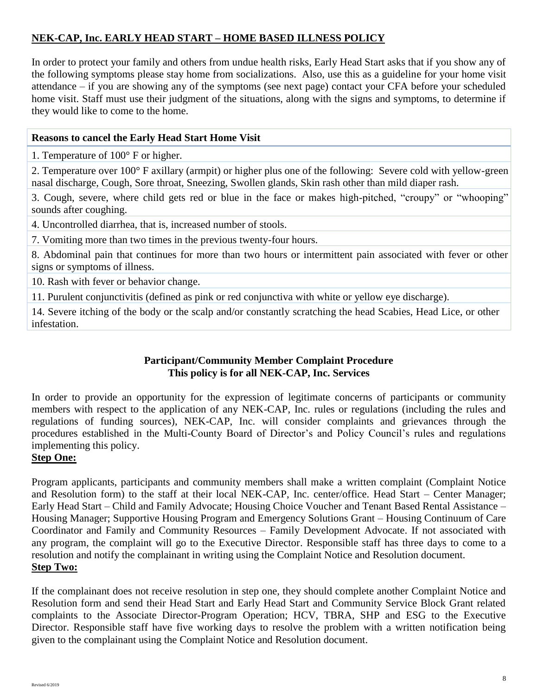# **NEK-CAP, Inc. EARLY HEAD START – HOME BASED ILLNESS POLICY**

In order to protect your family and others from undue health risks, Early Head Start asks that if you show any of the following symptoms please stay home from socializations. Also, use this as a guideline for your home visit attendance – if you are showing any of the symptoms (see next page) contact your CFA before your scheduled home visit. Staff must use their judgment of the situations, along with the signs and symptoms, to determine if they would like to come to the home.

## **Reasons to cancel the Early Head Start Home Visit**

1. Temperature of 100° F or higher.

2. Temperature over 100° F axillary (armpit) or higher plus one of the following: Severe cold with yellow-green nasal discharge, Cough, Sore throat, Sneezing, Swollen glands, Skin rash other than mild diaper rash.

3. Cough, severe, where child gets red or blue in the face or makes high-pitched, "croupy" or "whooping" sounds after coughing.

4. Uncontrolled diarrhea, that is, increased number of stools.

7. Vomiting more than two times in the previous twenty-four hours.

8. Abdominal pain that continues for more than two hours or intermittent pain associated with fever or other signs or symptoms of illness.

10. Rash with fever or behavior change.

11. Purulent conjunctivitis (defined as pink or red conjunctiva with white or yellow eye discharge).

14. Severe itching of the body or the scalp and/or constantly scratching the head Scabies, Head Lice, or other infestation.

# **Participant/Community Member Complaint Procedure This policy is for all NEK-CAP, Inc. Services**

In order to provide an opportunity for the expression of legitimate concerns of participants or community members with respect to the application of any NEK-CAP, Inc. rules or regulations (including the rules and regulations of funding sources), NEK-CAP, Inc. will consider complaints and grievances through the procedures established in the Multi-County Board of Director's and Policy Council's rules and regulations implementing this policy.

# **Step One:**

Program applicants, participants and community members shall make a written complaint (Complaint Notice and Resolution form) to the staff at their local NEK-CAP, Inc. center/office. Head Start – Center Manager; Early Head Start – Child and Family Advocate; Housing Choice Voucher and Tenant Based Rental Assistance – Housing Manager; Supportive Housing Program and Emergency Solutions Grant – Housing Continuum of Care Coordinator and Family and Community Resources – Family Development Advocate. If not associated with any program, the complaint will go to the Executive Director. Responsible staff has three days to come to a resolution and notify the complainant in writing using the Complaint Notice and Resolution document. **Step Two:**

If the complainant does not receive resolution in step one, they should complete another Complaint Notice and Resolution form and send their Head Start and Early Head Start and Community Service Block Grant related complaints to the Associate Director-Program Operation; HCV, TBRA, SHP and ESG to the Executive Director. Responsible staff have five working days to resolve the problem with a written notification being given to the complainant using the Complaint Notice and Resolution document.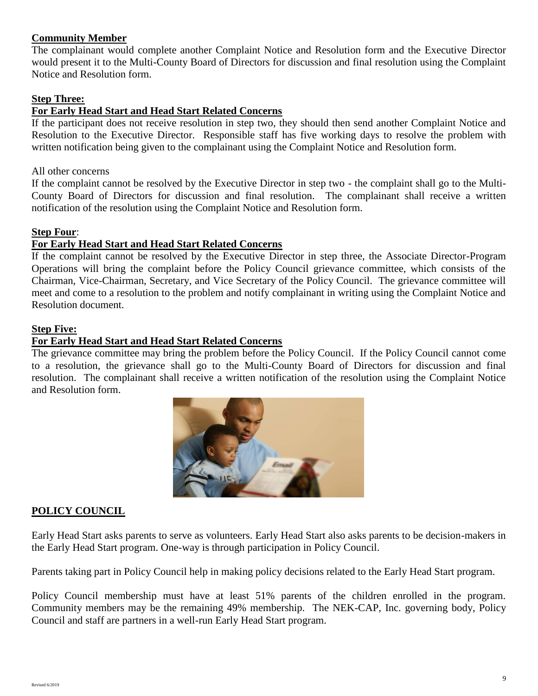## **Community Member**

The complainant would complete another Complaint Notice and Resolution form and the Executive Director would present it to the Multi-County Board of Directors for discussion and final resolution using the Complaint Notice and Resolution form.

## **Step Three:**

## **For Early Head Start and Head Start Related Concerns**

If the participant does not receive resolution in step two, they should then send another Complaint Notice and Resolution to the Executive Director. Responsible staff has five working days to resolve the problem with written notification being given to the complainant using the Complaint Notice and Resolution form.

#### All other concerns

If the complaint cannot be resolved by the Executive Director in step two - the complaint shall go to the Multi-County Board of Directors for discussion and final resolution. The complainant shall receive a written notification of the resolution using the Complaint Notice and Resolution form.

#### **Step Four**:

## **For Early Head Start and Head Start Related Concerns**

If the complaint cannot be resolved by the Executive Director in step three, the Associate Director-Program Operations will bring the complaint before the Policy Council grievance committee, which consists of the Chairman, Vice-Chairman, Secretary, and Vice Secretary of the Policy Council. The grievance committee will meet and come to a resolution to the problem and notify complainant in writing using the Complaint Notice and Resolution document.

#### **Step Five:**

#### **For Early Head Start and Head Start Related Concerns**

The grievance committee may bring the problem before the Policy Council. If the Policy Council cannot come to a resolution, the grievance shall go to the Multi-County Board of Directors for discussion and final resolution. The complainant shall receive a written notification of the resolution using the Complaint Notice and Resolution form.



## **POLICY COUNCIL**

Early Head Start asks parents to serve as volunteers. Early Head Start also asks parents to be decision-makers in the Early Head Start program. One-way is through participation in Policy Council.

Parents taking part in Policy Council help in making policy decisions related to the Early Head Start program.

Policy Council membership must have at least 51% parents of the children enrolled in the program. Community members may be the remaining 49% membership. The NEK-CAP, Inc. governing body, Policy Council and staff are partners in a well-run Early Head Start program.